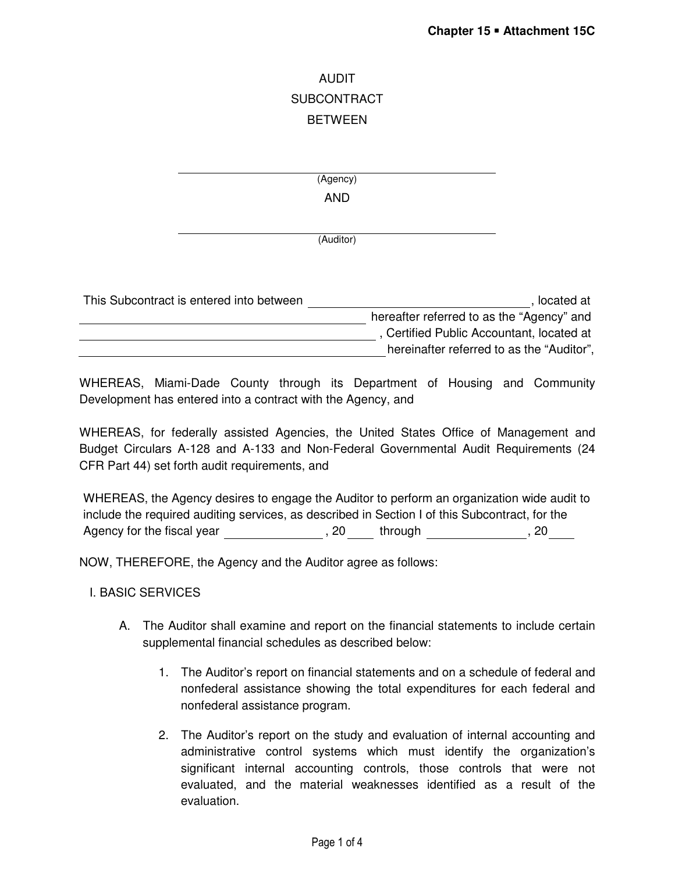# AUDIT SUBCONTRACT **BETWEEN**

(Agency) AND

(Auditor)

| This Subcontract is entered into between | located at                                |
|------------------------------------------|-------------------------------------------|
|                                          | hereafter referred to as the "Agency" and |
|                                          | , Certified Public Accountant, located at |
|                                          | hereinafter referred to as the "Auditor", |

WHEREAS, Miami-Dade County through its Department of Housing and Community Development has entered into a contract with the Agency, and

WHEREAS, for federally assisted Agencies, the United States Office of Management and Budget Circulars A-128 and A-133 and Non-Federal Governmental Audit Requirements (24 CFR Part 44) set forth audit requirements, and

WHEREAS, the Agency desires to engage the Auditor to perform an organization wide audit to include the required auditing services, as described in Section I of this Subcontract, for the Agency for the fiscal year **contact and the set of through** through through the set of the set of the set of the set of the set of the set of the set of the set of the set of the set of the set of the set of the set of the

NOW, THEREFORE, the Agency and the Auditor agree as follows:

## I. BASIC SERVICES

- A. The Auditor shall examine and report on the financial statements to include certain supplemental financial schedules as described below:
	- 1. The Auditor's report on financial statements and on a schedule of federal and nonfederal assistance showing the total expenditures for each federal and nonfederal assistance program.
	- 2. The Auditor's report on the study and evaluation of internal accounting and administrative control systems which must identify the organization's significant internal accounting controls, those controls that were not evaluated, and the material weaknesses identified as a result of the evaluation.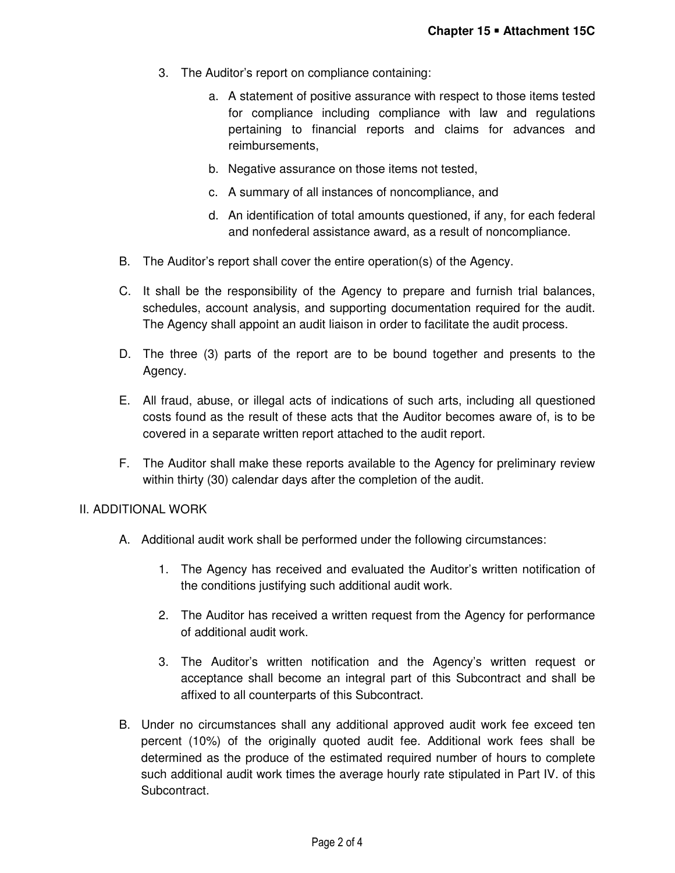- 3. The Auditor's report on compliance containing:
	- a. A statement of positive assurance with respect to those items tested for compliance including compliance with law and regulations pertaining to financial reports and claims for advances and reimbursements,
	- b. Negative assurance on those items not tested,
	- c. A summary of all instances of noncompliance, and
	- d. An identification of total amounts questioned, if any, for each federal and nonfederal assistance award, as a result of noncompliance.
- B. The Auditor's report shall cover the entire operation(s) of the Agency.
- C. It shall be the responsibility of the Agency to prepare and furnish trial balances, schedules, account analysis, and supporting documentation required for the audit. The Agency shall appoint an audit liaison in order to facilitate the audit process.
- D. The three (3) parts of the report are to be bound together and presents to the Agency.
- E. All fraud, abuse, or illegal acts of indications of such arts, including all questioned costs found as the result of these acts that the Auditor becomes aware of, is to be covered in a separate written report attached to the audit report.
- F. The Auditor shall make these reports available to the Agency for preliminary review within thirty (30) calendar days after the completion of the audit.

#### II. ADDITIONAL WORK

- A. Additional audit work shall be performed under the following circumstances:
	- 1. The Agency has received and evaluated the Auditor's written notification of the conditions justifying such additional audit work.
	- 2. The Auditor has received a written request from the Agency for performance of additional audit work.
	- 3. The Auditor's written notification and the Agency's written request or acceptance shall become an integral part of this Subcontract and shall be affixed to all counterparts of this Subcontract.
- B. Under no circumstances shall any additional approved audit work fee exceed ten percent (10%) of the originally quoted audit fee. Additional work fees shall be determined as the produce of the estimated required number of hours to complete such additional audit work times the average hourly rate stipulated in Part IV. of this Subcontract.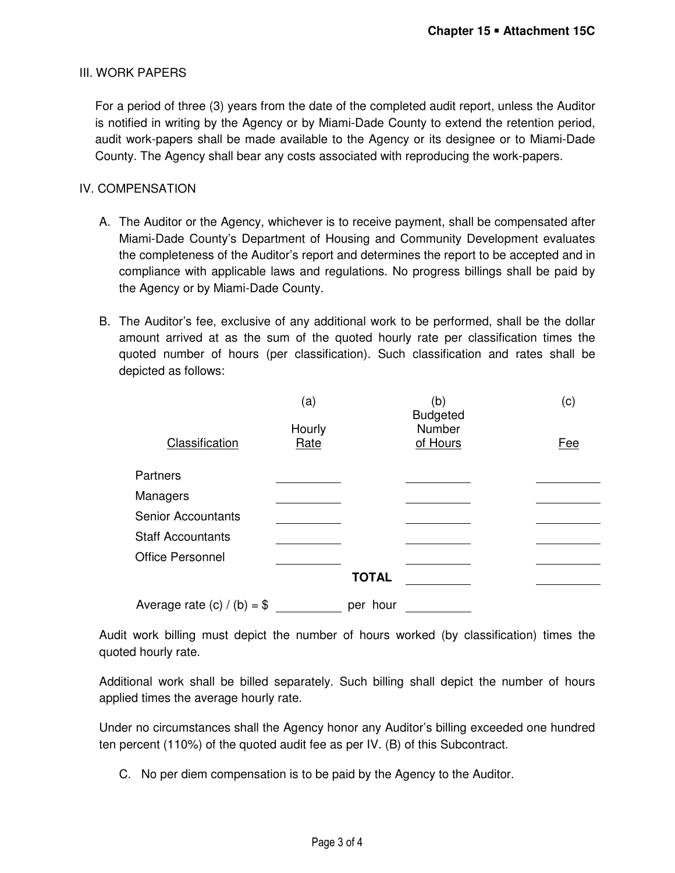## III. WORK PAPERS

For a period of three (3) years from the date of the completed audit report, unless the Auditor is notified in writing by the Agency or by Miami-Dade County to extend the retention period, audit work-papers shall be made available to the Agency or its designee or to Miami-Dade County. The Agency shall bear any costs associated with reproducing the work-papers.

## IV. COMPENSATION

- A. The Auditor or the Agency, whichever is to receive payment, shall be compensated after Miami-Dade County's Department of Housing and Community Development evaluates the completeness of the Auditor's report and determines the report to be accepted and in compliance with applicable laws and regulations. No progress billings shall be paid by the Agency or by Miami-Dade County.
- B. The Auditor's fee, exclusive of any additional work to be performed, shall be the dollar amount arrived at as the sum of the quoted hourly rate per classification times the quoted number of hours (per classification). Such classification and rates shall be depicted as follows:

|                              | (a)            |              | (b)<br><b>Budgeted</b> | (c) |
|------------------------------|----------------|--------------|------------------------|-----|
| Classification               | Hourly<br>Rate |              | Number<br>of Hours     | Fee |
| <b>Partners</b>              |                |              |                        |     |
| Managers                     |                |              |                        |     |
| <b>Senior Accountants</b>    |                |              |                        |     |
| <b>Staff Accountants</b>     |                |              |                        |     |
| <b>Office Personnel</b>      |                |              |                        |     |
|                              |                | <b>TOTAL</b> |                        |     |
| Average rate $(c) / (b) = $$ |                | per hour     |                        |     |

Audit work billing must depict the number of hours worked (by classification) times the quoted hourly rate.

Additional work shall be billed separately. Such billing shall depict the number of hours applied times the average hourly rate.

Under no circumstances shall the Agency honor any Auditor's billing exceeded one hundred ten percent (110%) of the quoted audit fee as per IV. (B) of this Subcontract.

C. No per diem compensation is to be paid by the Agency to the Auditor.